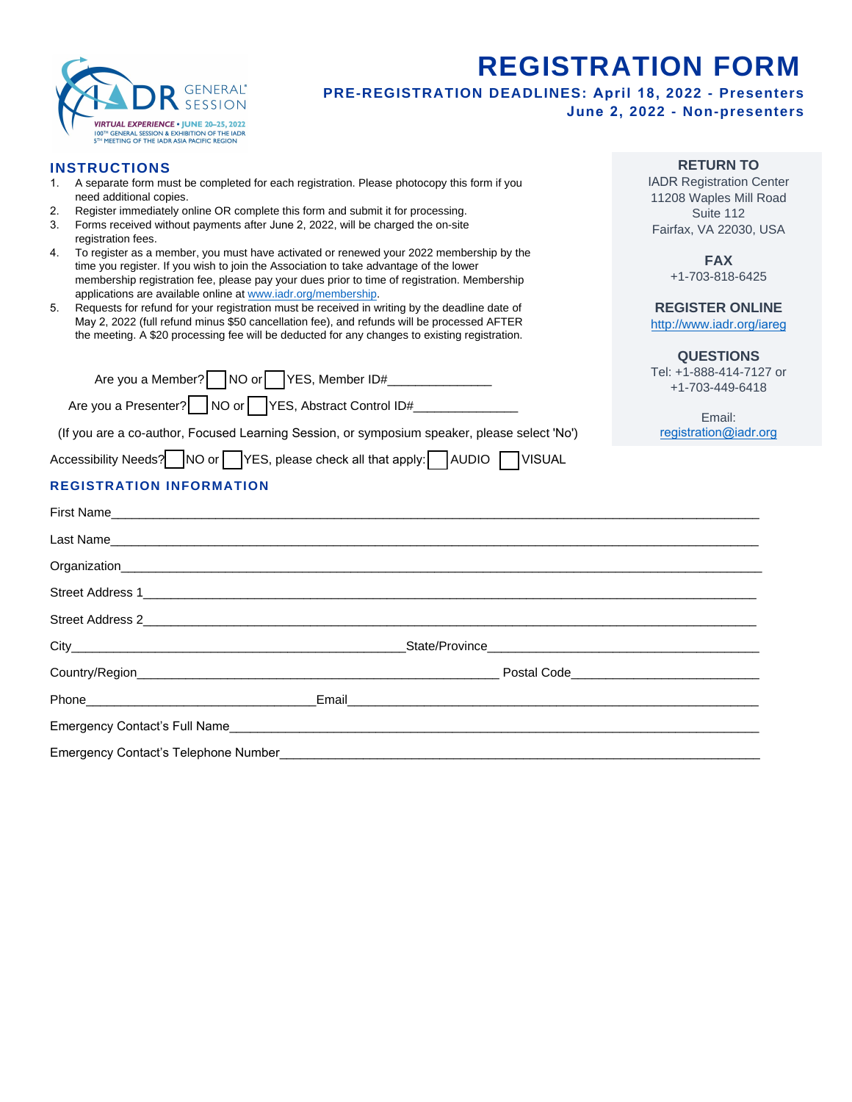

# **REGISTRATION FORM**

**PRE-REGISTRATION DEADLINES: April 18, 2022 - Presenters**

**June 2, 2022 - Non-presenters**

## **INSTRUCTIONS**

- 1. A separate form must be completed for each registration. Please photocopy this form if you need additional copies.
- 2. Register immediately online OR complete this form and submit it for processing.
- 3. Forms received without payments after June 2, 2022, will be charged the on-site registration fees.
- 4. To register as a member, you must have activated or renewed your 2022 membership by the time you register. If you wish to join the Association to take advantage of the lower membership registration fee, please pay your dues prior to time of registration. Membership applications are available online at [www.iadr.org/membership.](http://www.iadr.org/membership)
- 5. Requests for refund for your registration must be received in writing by the deadline date of May 2, 2022 (full refund minus \$50 cancellation fee), and refunds will be processed AFTER the meeting. A \$20 processing fee will be deducted for any changes to existing registration.

| Are you a Member? NO or YES, Member ID#<br>Are you a Presenter?     NO or   YES, Abstract Control ID#                                                                                                                               | <b>QUESIIONS</b><br>Tel: +1-888-414-7127 or<br>+1-703-449-6418<br>Email: |
|-------------------------------------------------------------------------------------------------------------------------------------------------------------------------------------------------------------------------------------|--------------------------------------------------------------------------|
| (If you are a co-author, Focused Learning Session, or symposium speaker, please select 'No')                                                                                                                                        | registration@iadr.org                                                    |
| Accessibility Needs? NO or TYES, please check all that apply: AUDIO TVISUAL                                                                                                                                                         |                                                                          |
| <b>REGISTRATION INFORMATION</b>                                                                                                                                                                                                     |                                                                          |
| First Name                                                                                                                                                                                                                          |                                                                          |
| Last Name                                                                                                                                                                                                                           |                                                                          |
|                                                                                                                                                                                                                                     |                                                                          |
|                                                                                                                                                                                                                                     |                                                                          |
|                                                                                                                                                                                                                                     |                                                                          |
|                                                                                                                                                                                                                                     |                                                                          |
|                                                                                                                                                                                                                                     | Postal Code <u>December 2008</u>                                         |
| <b>Email</b> 2008 - 2008 - 2019 - 2019 - 2019 - 2019 - 2019 - 2019 - 2019 - 2019 - 2019 - 2019 - 2019 - 2019 - 2019 - 2019 - 2019 - 2019 - 2019 - 2019 - 2019 - 2019 - 2019 - 2019 - 2019 - 2019 - 2019 - 2019 - 2019 - 2019 - 2019 |                                                                          |
| <b>Emergency Contact's Full Name</b>                                                                                                                                                                                                |                                                                          |

Emergency Contact's Telephone Number

## **RETURN TO**

IADR Registration Center 11208 Waples Mill Road Suite 112 Fairfax, VA 22030, USA

> **FAX**  +1-703-818-6425

## **REGISTER ONLINE**

http://www.iadr.org/iareg

# **[QUESTIONS](http://www.iadr.org/spargo)**